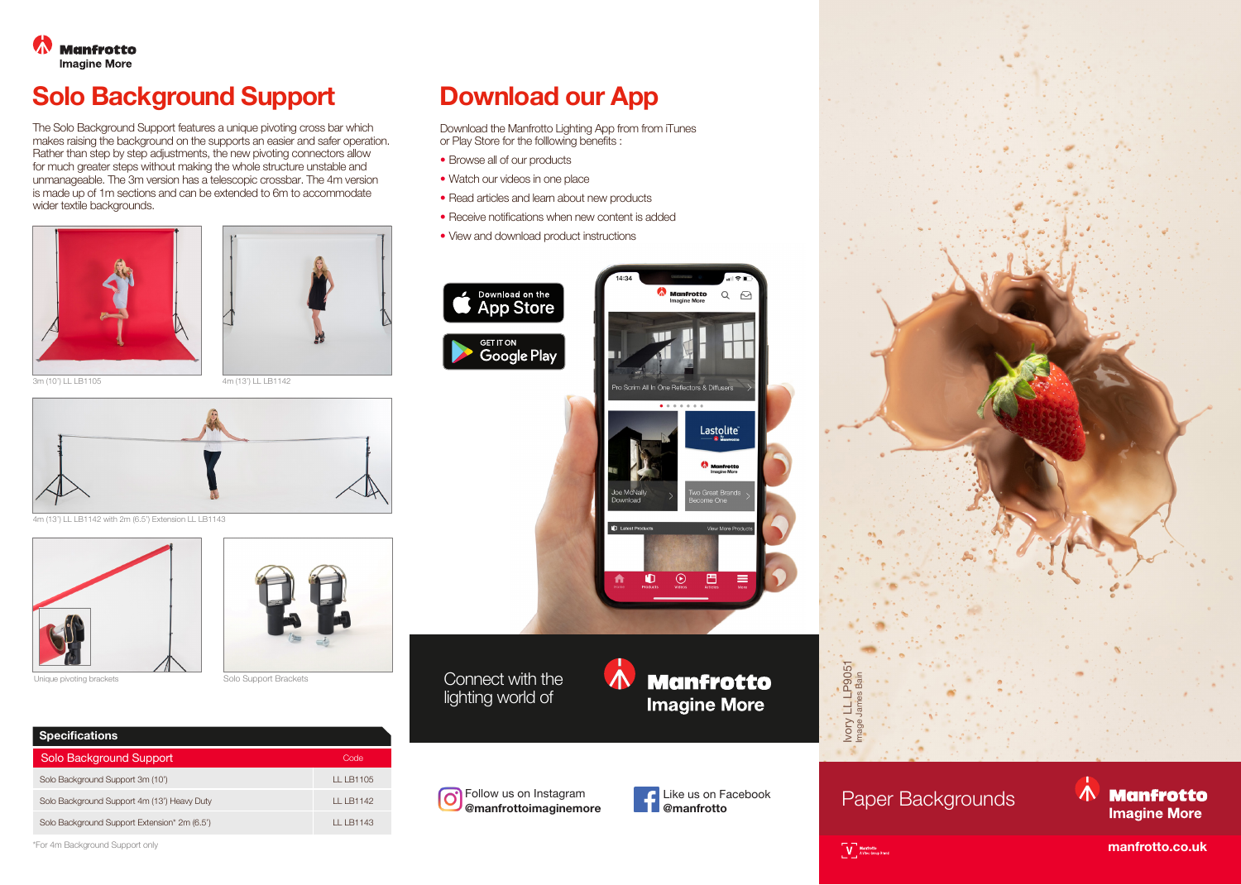

## **Solo Background Support Download our App**

The Solo Background Support features a unique pivoting cross bar which makes raising the background on the supports an easier and safer operation. Rather than step by step adjustments, the new pivoting connectors allow for much greater steps without making the whole structure unstable and unmanageable. The 3m version has a telescopic crossbar. The 4m version is made up of 1m sections and can be extended to 6m to accommodate wider textile backgrounds.





3m (10') LL LB1105 4m (13') LL LB1142



4m (13') LL LB1142 with 2m (6.5') Extension LL LB1143





Unique pivoting brackets Solo Support Brackets



Download the Manfrotto Lighting App from from iTunes or Play Store for the folllowing benefits :

- Browse all of our products
- Watch our videos in one place
- Read articles and learn about new products
- Receive notifications when new content is added
- View and download product instructions



Connect with the lighting world of







Paper Backgrounds

Ivory LL LP9051 Image James Bain

目 Ivory

**V** Manfrotto

LP9051

## $\Lambda$ **Manfrotto Imagine More**

**manfrotto.co.uk**

\*For 4m Background Support only